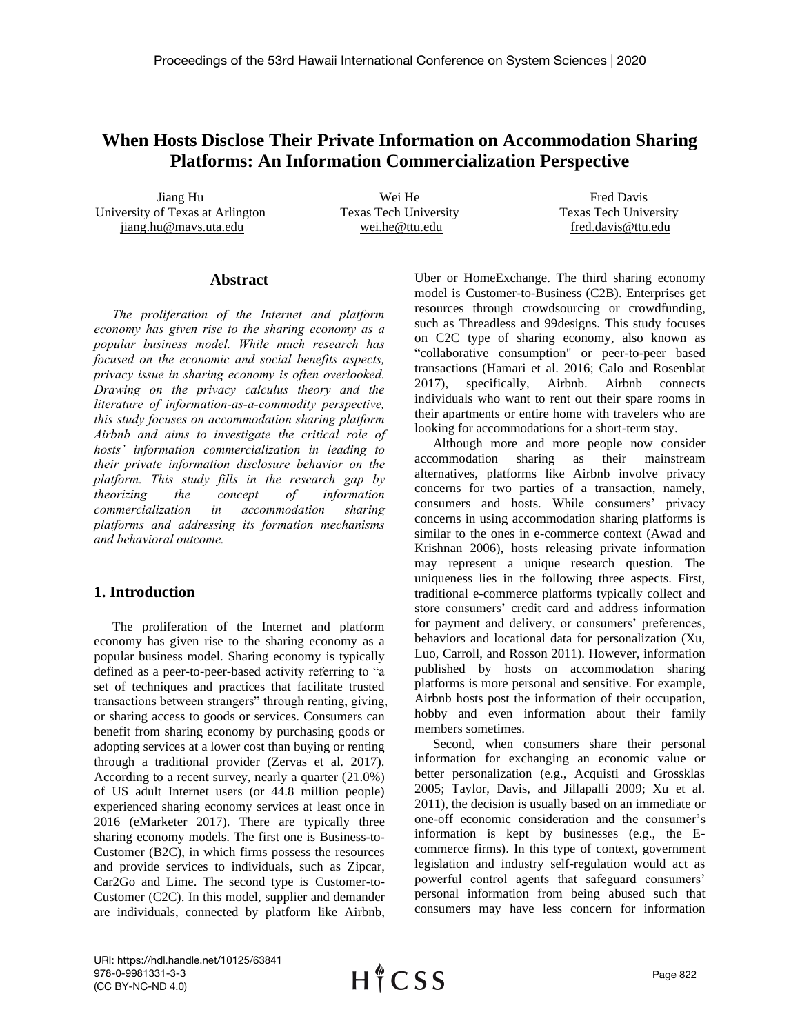# **When Hosts Disclose Their Private Information on Accommodation Sharing Platforms: An Information Commercialization Perspective**

Jiang Hu University of Texas at Arlington jiang.hu@mavs.uta.edu

Wei He Texas Tech University wei.he@ttu.edu

Fred Davis Texas Tech University fred.davis@ttu.edu

#### **Abstract**

*The proliferation of the Internet and platform economy has given rise to the sharing economy as a popular business model. While much research has focused on the economic and social benefits aspects, privacy issue in sharing economy is often overlooked. Drawing on the privacy calculus theory and the literature of information-as-a-commodity perspective, this study focuses on accommodation sharing platform Airbnb and aims to investigate the critical role of hosts' information commercialization in leading to their private information disclosure behavior on the platform. This study fills in the research gap by theorizing the concept of information commercialization in accommodation sharing platforms and addressing its formation mechanisms and behavioral outcome.*

# **1. Introduction**

The proliferation of the Internet and platform economy has given rise to the sharing economy as a popular business model. Sharing economy is typically defined as a peer-to-peer-based activity referring to "a set of techniques and practices that facilitate trusted transactions between strangers" through renting, giving, or sharing access to goods or services. Consumers can benefit from sharing economy by purchasing goods or adopting services at a lower cost than buying or renting through a traditional provider (Zervas et al. 2017). According to a recent survey, nearly a quarter (21.0%) of US adult Internet users (or 44.8 million people) experienced sharing economy services at least once in 2016 (eMarketer 2017). There are typically three sharing economy models. The first one is Business-to-Customer (B2C), in which firms possess the resources and provide services to individuals, such as Zipcar, Car2Go and Lime. The second type is Customer-to-Customer (C2C). In this model, supplier and demander are individuals, connected by platform like Airbnb,

Uber or HomeExchange. The third sharing economy model is Customer-to-Business (C2B). Enterprises get resources through crowdsourcing or crowdfunding, such as Threadless and 99designs. This study focuses on C2C type of sharing economy, also known as "collaborative consumption" or peer-to-peer based transactions (Hamari et al. 2016; Calo and Rosenblat 2017), specifically, Airbnb. Airbnb connects individuals who want to rent out their spare rooms in their apartments or entire home with travelers who are looking for accommodations for a short-term stay.

Although more and more people now consider accommodation sharing as their mainstream alternatives, platforms like Airbnb involve privacy concerns for two parties of a transaction, namely, consumers and hosts. While consumers' privacy concerns in using accommodation sharing platforms is similar to the ones in e-commerce context (Awad and Krishnan 2006), hosts releasing private information may represent a unique research question. The uniqueness lies in the following three aspects. First, traditional e-commerce platforms typically collect and store consumers' credit card and address information for payment and delivery, or consumers' preferences, behaviors and locational data for personalization (Xu, Luo, Carroll, and Rosson 2011). However, information published by hosts on accommodation sharing platforms is more personal and sensitive. For example, Airbnb hosts post the information of their occupation, hobby and even information about their family members sometimes.

Second, when consumers share their personal information for exchanging an economic value or better personalization (e.g., Acquisti and Grossklas 2005; Taylor, Davis, and Jillapalli 2009; Xu et al. 2011), the decision is usually based on an immediate or one-off economic consideration and the consumer's information is kept by businesses (e.g., the Ecommerce firms). In this type of context, government legislation and industry self-regulation would act as powerful control agents that safeguard consumers' personal information from being abused such that consumers may have less concern for information

URI: https://hdl.handle.net/10125/63841 978-0-9981331-3-3 (CC BY-NC-ND 4.0)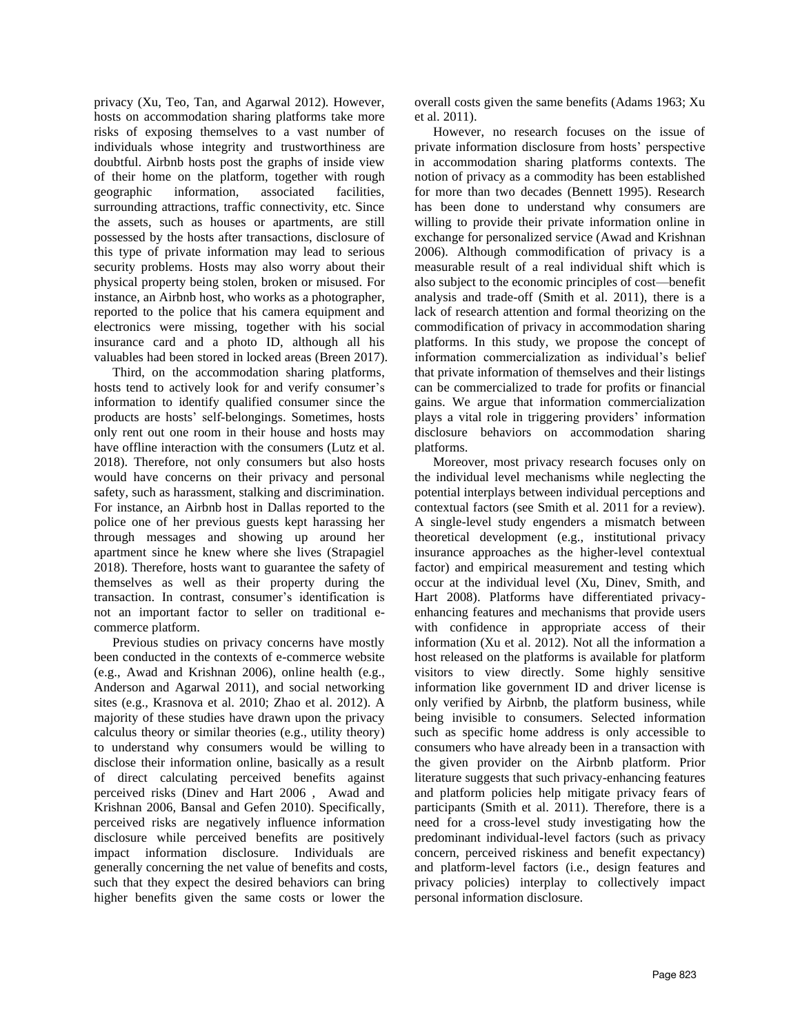privacy (Xu, Teo, Tan, and Agarwal 2012). However, hosts on accommodation sharing platforms take more risks of exposing themselves to a vast number of individuals whose integrity and trustworthiness are doubtful. Airbnb hosts post the graphs of inside view of their home on the platform, together with rough geographic information, associated facilities, surrounding attractions, traffic connectivity, etc. Since the assets, such as houses or apartments, are still possessed by the hosts after transactions, disclosure of this type of private information may lead to serious security problems. Hosts may also worry about their physical property being stolen, broken or misused. For instance, an Airbnb host, who works as a photographer, reported to the police that his camera equipment and electronics were missing, together with his social insurance card and a photo ID, although all his valuables had been stored in locked areas (Breen 2017).

Third, on the accommodation sharing platforms, hosts tend to actively look for and verify consumer's information to identify qualified consumer since the products are hosts' self-belongings. Sometimes, hosts only rent out one room in their house and hosts may have offline interaction with the consumers (Lutz et al. 2018). Therefore, not only consumers but also hosts would have concerns on their privacy and personal safety, such as harassment, stalking and discrimination. For instance, an Airbnb host in Dallas reported to the police one of her previous guests kept harassing her through messages and showing up around her apartment since he knew where she lives (Strapagiel 2018). Therefore, hosts want to guarantee the safety of themselves as well as their property during the transaction. In contrast, consumer's identification is not an important factor to seller on traditional ecommerce platform.

Previous studies on privacy concerns have mostly been conducted in the contexts of e-commerce website (e.g., Awad and Krishnan 2006), online health (e.g., Anderson and Agarwal 2011), and social networking sites (e.g., Krasnova et al. 2010; Zhao et al. 2012). A majority of these studies have drawn upon the privacy calculus theory or similar theories (e.g., utility theory) to understand why consumers would be willing to disclose their information online, basically as a result of direct calculating perceived benefits against perceived risks (Dinev and Hart 2006 , Awad and Krishnan 2006, Bansal and Gefen 2010). Specifically, perceived risks are negatively influence information disclosure while perceived benefits are positively impact information disclosure. Individuals are generally concerning the net value of benefits and costs, such that they expect the desired behaviors can bring higher benefits given the same costs or lower the

overall costs given the same benefits (Adams 1963; Xu et al. 2011).

However, no research focuses on the issue of private information disclosure from hosts' perspective in accommodation sharing platforms contexts. The notion of privacy as a commodity has been established for more than two decades (Bennett 1995). Research has been done to understand why consumers are willing to provide their private information online in exchange for personalized service (Awad and Krishnan 2006). Although commodification of privacy is a measurable result of a real individual shift which is also subject to the economic principles of cost—benefit analysis and trade-off (Smith et al. 2011), there is a lack of research attention and formal theorizing on the commodification of privacy in accommodation sharing platforms. In this study, we propose the concept of information commercialization as individual's belief that private information of themselves and their listings can be commercialized to trade for profits or financial gains. We argue that information commercialization plays a vital role in triggering providers' information disclosure behaviors on accommodation sharing platforms.

Moreover, most privacy research focuses only on the individual level mechanisms while neglecting the potential interplays between individual perceptions and contextual factors (see Smith et al. 2011 for a review). A single-level study engenders a mismatch between theoretical development (e.g., institutional privacy insurance approaches as the higher-level contextual factor) and empirical measurement and testing which occur at the individual level (Xu, Dinev, Smith, and Hart 2008). Platforms have differentiated privacyenhancing features and mechanisms that provide users with confidence in appropriate access of their information (Xu et al. 2012). Not all the information a host released on the platforms is available for platform visitors to view directly. Some highly sensitive information like government ID and driver license is only verified by Airbnb, the platform business, while being invisible to consumers. Selected information such as specific home address is only accessible to consumers who have already been in a transaction with the given provider on the Airbnb platform. Prior literature suggests that such privacy-enhancing features and platform policies help mitigate privacy fears of participants (Smith et al. 2011). Therefore, there is a need for a cross-level study investigating how the predominant individual-level factors (such as privacy concern, perceived riskiness and benefit expectancy) and platform-level factors (i.e., design features and privacy policies) interplay to collectively impact personal information disclosure.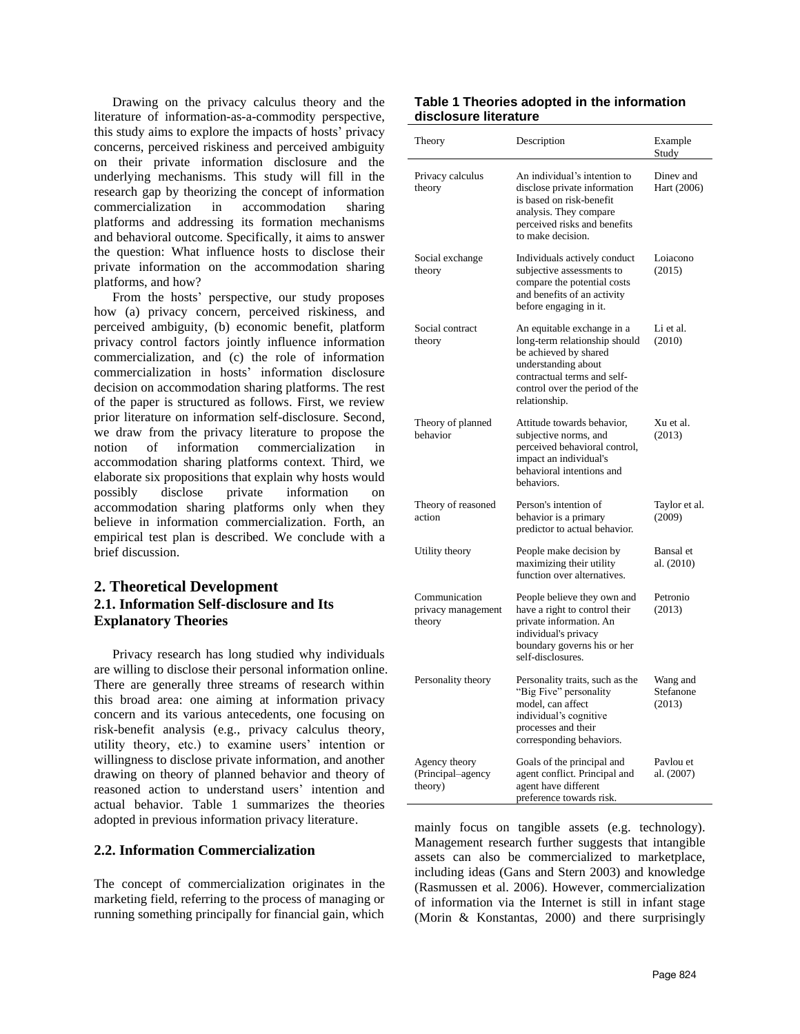Drawing on the privacy calculus theory and the literature of information-as-a-commodity perspective, this study aims to explore the impacts of hosts' privacy concerns, perceived riskiness and perceived ambiguity on their private information disclosure and the underlying mechanisms. This study will fill in the research gap by theorizing the concept of information commercialization in accommodation sharing platforms and addressing its formation mechanisms and behavioral outcome. Specifically, it aims to answer the question: What influence hosts to disclose their private information on the accommodation sharing platforms, and how?

From the hosts' perspective, our study proposes how (a) privacy concern, perceived riskiness, and perceived ambiguity, (b) economic benefit, platform privacy control factors jointly influence information commercialization, and (c) the role of information commercialization in hosts' information disclosure decision on accommodation sharing platforms. The rest of the paper is structured as follows. First, we review prior literature on information self-disclosure. Second, we draw from the privacy literature to propose the notion of information commercialization in accommodation sharing platforms context. Third, we elaborate six propositions that explain why hosts would possibly disclose private information on accommodation sharing platforms only when they believe in information commercialization. Forth, an empirical test plan is described. We conclude with a brief discussion.

# **2. Theoretical Development 2.1. Information Self-disclosure and Its Explanatory Theories**

Privacy research has long studied why individuals are willing to disclose their personal information online. There are generally three streams of research within this broad area: one aiming at information privacy concern and its various antecedents, one focusing on risk-benefit analysis (e.g., privacy calculus theory, utility theory, etc.) to examine users' intention or willingness to disclose private information, and another drawing on theory of planned behavior and theory of reasoned action to understand users' intention and actual behavior. Table 1 summarizes the theories adopted in previous information privacy literature.

#### **2.2. Information Commercialization**

The concept of commercialization originates in the marketing field, referring to the process of managing or running something principally for financial gain, which

#### **Table 1 Theories adopted in the information disclosure literature**

| Theory                                        | Description                                                                                                                                                                                   | Example<br>Study                |
|-----------------------------------------------|-----------------------------------------------------------------------------------------------------------------------------------------------------------------------------------------------|---------------------------------|
| Privacy calculus<br>theory                    | An individual's intention to<br>disclose private information<br>is based on risk-benefit<br>analysis. They compare<br>perceived risks and benefits<br>to make decision.                       | Dinev and<br>Hart (2006)        |
| Social exchange<br>theory                     | Individuals actively conduct<br>subjective assessments to<br>compare the potential costs<br>and benefits of an activity<br>before engaging in it.                                             | Loiacono<br>(2015)              |
| Social contract<br>theory                     | An equitable exchange in a<br>long-term relationship should<br>be achieved by shared<br>understanding about<br>contractual terms and self-<br>control over the period of the<br>relationship. | Li et al.<br>(2010)             |
| Theory of planned<br>behavior                 | Attitude towards behavior,<br>subjective norms, and<br>perceived behavioral control,<br>impact an individual's<br>behavioral intentions and<br>behaviors.                                     | Xu et al.<br>(2013)             |
| Theory of reasoned<br>action                  | Person's intention of<br>behavior is a primary<br>predictor to actual behavior.                                                                                                               | Taylor et al.<br>(2009)         |
| Utility theory                                | People make decision by<br>maximizing their utility<br>function over alternatives.                                                                                                            | Bansal et<br>al. (2010)         |
| Communication<br>privacy management<br>theory | People believe they own and<br>have a right to control their<br>private information. An<br>individual's privacy<br>boundary governs his or her<br>self-disclosures.                           | Petronio<br>(2013)              |
| Personality theory                            | Personality traits, such as the<br>"Big Five" personality<br>model, can affect<br>individual's cognitive<br>processes and their<br>corresponding behaviors.                                   | Wang and<br>Stefanone<br>(2013) |
| Agency theory<br>(Principal-agency<br>theory) | Goals of the principal and<br>agent conflict. Principal and<br>agent have different<br>preference towards risk.                                                                               | Pavlou et<br>al. (2007)         |

mainly focus on tangible assets (e.g. technology). Management research further suggests that intangible assets can also be commercialized to marketplace, including ideas (Gans and Stern 2003) and knowledge (Rasmussen et al. 2006). However, commercialization of information via the Internet is still in infant stage (Morin & Konstantas, 2000) and there surprisingly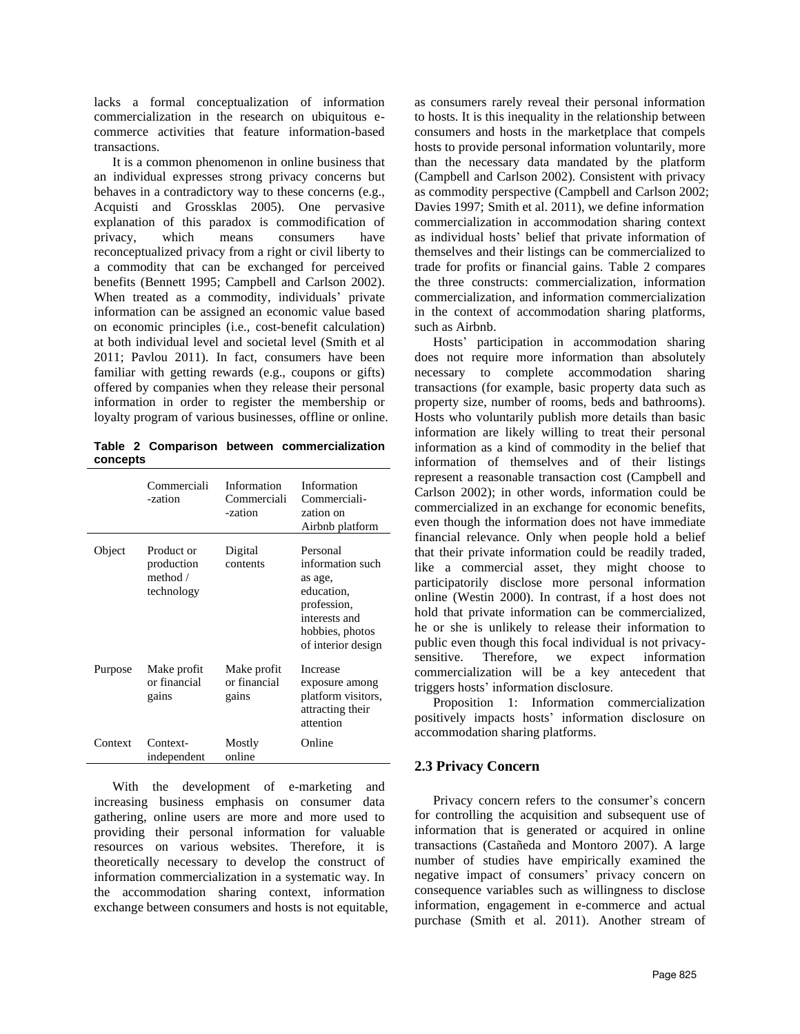lacks a formal conceptualization of information commercialization in the research on ubiquitous ecommerce activities that feature information-based transactions.

It is a common phenomenon in online business that an individual expresses strong privacy concerns but behaves in a contradictory way to these concerns (e.g., Acquisti and Grossklas 2005). One pervasive explanation of this paradox is commodification of privacy, which means consumers have reconceptualized privacy from a right or civil liberty to a commodity that can be exchanged for perceived benefits (Bennett 1995; Campbell and Carlson 2002). When treated as a commodity, individuals' private information can be assigned an economic value based on economic principles (i.e., cost-benefit calculation) at both individual level and societal level (Smith et al 2011; Pavlou 2011). In fact, consumers have been familiar with getting rewards (e.g., coupons or gifts) offered by companies when they release their personal information in order to register the membership or loyalty program of various businesses, offline or online.

**Table 2 Comparison between commercialization concepts**

|         | Commerciali<br>-zation                               | Information<br>Commerciali<br>-zation | Information<br>Commerciali-<br>zation on<br>Airbnb platform                                                                    |
|---------|------------------------------------------------------|---------------------------------------|--------------------------------------------------------------------------------------------------------------------------------|
| Object  | Product or<br>production<br>method $/$<br>technology | Digital<br>contents                   | Personal<br>information such<br>as age,<br>education,<br>profession,<br>interests and<br>hobbies, photos<br>of interior design |
| Purpose | Make profit<br>or financial<br>gains                 | Make profit<br>or financial<br>gains  | Increase<br>exposure among<br>platform visitors,<br>attracting their<br>attention                                              |
| Context | Context-<br>independent                              | Mostly<br>online                      | Online                                                                                                                         |

With the development of e-marketing and increasing business emphasis on consumer data gathering, online users are more and more used to providing their personal information for valuable resources on various websites. Therefore, it is theoretically necessary to develop the construct of information commercialization in a systematic way. In the accommodation sharing context, information exchange between consumers and hosts is not equitable, as consumers rarely reveal their personal information to hosts. It is this inequality in the relationship between consumers and hosts in the marketplace that compels hosts to provide personal information voluntarily, more than the necessary data mandated by the platform (Campbell and Carlson 2002). Consistent with privacy as commodity perspective (Campbell and Carlson 2002; Davies 1997; Smith et al. 2011), we define information commercialization in accommodation sharing context as individual hosts' belief that private information of themselves and their listings can be commercialized to trade for profits or financial gains. Table 2 compares the three constructs: commercialization, information commercialization, and information commercialization in the context of accommodation sharing platforms, such as Airbnb.

Hosts' participation in accommodation sharing does not require more information than absolutely necessary to complete accommodation sharing transactions (for example, basic property data such as property size, number of rooms, beds and bathrooms). Hosts who voluntarily publish more details than basic information are likely willing to treat their personal information as a kind of commodity in the belief that information of themselves and of their listings represent a reasonable transaction cost (Campbell and Carlson 2002); in other words, information could be commercialized in an exchange for economic benefits, even though the information does not have immediate financial relevance. Only when people hold a belief that their private information could be readily traded, like a commercial asset, they might choose to participatorily disclose more personal information online (Westin 2000). In contrast, if a host does not hold that private information can be commercialized, he or she is unlikely to release their information to public even though this focal individual is not privacysensitive. Therefore, we expect information commercialization will be a key antecedent that triggers hosts' information disclosure.

Proposition 1: Information commercialization positively impacts hosts' information disclosure on accommodation sharing platforms.

#### **2.3 Privacy Concern**

Privacy concern refers to the consumer's concern for controlling the acquisition and subsequent use of information that is generated or acquired in online transactions (Castañeda and Montoro 2007). A large number of studies have empirically examined the negative impact of consumers' privacy concern on consequence variables such as willingness to disclose information, engagement in e-commerce and actual purchase (Smith et al. 2011). Another stream of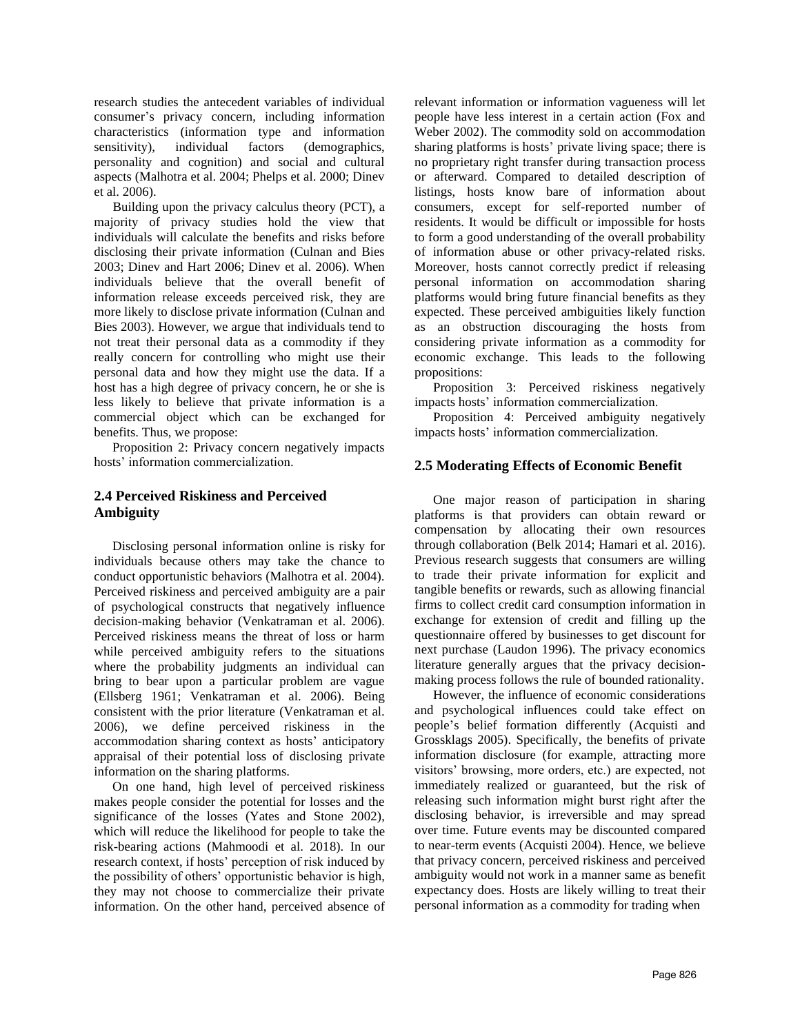research studies the antecedent variables of individual consumer's privacy concern, including information characteristics (information type and information sensitivity), individual factors (demographics, personality and cognition) and social and cultural aspects (Malhotra et al. 2004; Phelps et al. 2000; Dinev et al. 2006).

Building upon the privacy calculus theory (PCT), a majority of privacy studies hold the view that individuals will calculate the benefits and risks before disclosing their private information (Culnan and Bies 2003; Dinev and Hart 2006; Dinev et al. 2006). When individuals believe that the overall benefit of information release exceeds perceived risk, they are more likely to disclose private information (Culnan and Bies 2003). However, we argue that individuals tend to not treat their personal data as a commodity if they really concern for controlling who might use their personal data and how they might use the data. If a host has a high degree of privacy concern, he or she is less likely to believe that private information is a commercial object which can be exchanged for benefits. Thus, we propose:

Proposition 2: Privacy concern negatively impacts hosts' information commercialization.

## **2.4 Perceived Riskiness and Perceived Ambiguity**

Disclosing personal information online is risky for individuals because others may take the chance to conduct opportunistic behaviors (Malhotra et al. 2004). Perceived riskiness and perceived ambiguity are a pair of psychological constructs that negatively influence decision-making behavior (Venkatraman et al. 2006). Perceived riskiness means the threat of loss or harm while perceived ambiguity refers to the situations where the probability judgments an individual can bring to bear upon a particular problem are vague (Ellsberg 1961; Venkatraman et al. 2006). Being consistent with the prior literature (Venkatraman et al. 2006), we define perceived riskiness in the accommodation sharing context as hosts' anticipatory appraisal of their potential loss of disclosing private information on the sharing platforms.

On one hand, high level of perceived riskiness makes people consider the potential for losses and the significance of the losses (Yates and Stone 2002), which will reduce the likelihood for people to take the risk-bearing actions (Mahmoodi et al. 2018). In our research context, if hosts' perception of risk induced by the possibility of others' opportunistic behavior is high, they may not choose to commercialize their private information. On the other hand, perceived absence of relevant information or information vagueness will let people have less interest in a certain action (Fox and Weber 2002). The commodity sold on accommodation sharing platforms is hosts' private living space; there is no proprietary right transfer during transaction process or afterward. Compared to detailed description of listings, hosts know bare of information about consumers, except for self-reported number of residents. It would be difficult or impossible for hosts to form a good understanding of the overall probability of information abuse or other privacy-related risks. Moreover, hosts cannot correctly predict if releasing personal information on accommodation sharing platforms would bring future financial benefits as they expected. These perceived ambiguities likely function as an obstruction discouraging the hosts from considering private information as a commodity for economic exchange. This leads to the following propositions:

Proposition 3: Perceived riskiness negatively impacts hosts' information commercialization.

Proposition 4: Perceived ambiguity negatively impacts hosts' information commercialization.

## **2.5 Moderating Effects of Economic Benefit**

One major reason of participation in sharing platforms is that providers can obtain reward or compensation by allocating their own resources through collaboration (Belk 2014; Hamari et al. 2016). Previous research suggests that consumers are willing to trade their private information for explicit and tangible benefits or rewards, such as allowing financial firms to collect credit card consumption information in exchange for extension of credit and filling up the questionnaire offered by businesses to get discount for next purchase (Laudon 1996). The privacy economics literature generally argues that the privacy decisionmaking process follows the rule of bounded rationality.

However, the influence of economic considerations and psychological influences could take effect on people's belief formation differently (Acquisti and Grossklags 2005). Specifically, the benefits of private information disclosure (for example, attracting more visitors' browsing, more orders, etc.) are expected, not immediately realized or guaranteed, but the risk of releasing such information might burst right after the disclosing behavior, is irreversible and may spread over time. Future events may be discounted compared to near-term events (Acquisti 2004). Hence, we believe that privacy concern, perceived riskiness and perceived ambiguity would not work in a manner same as benefit expectancy does. Hosts are likely willing to treat their personal information as a commodity for trading when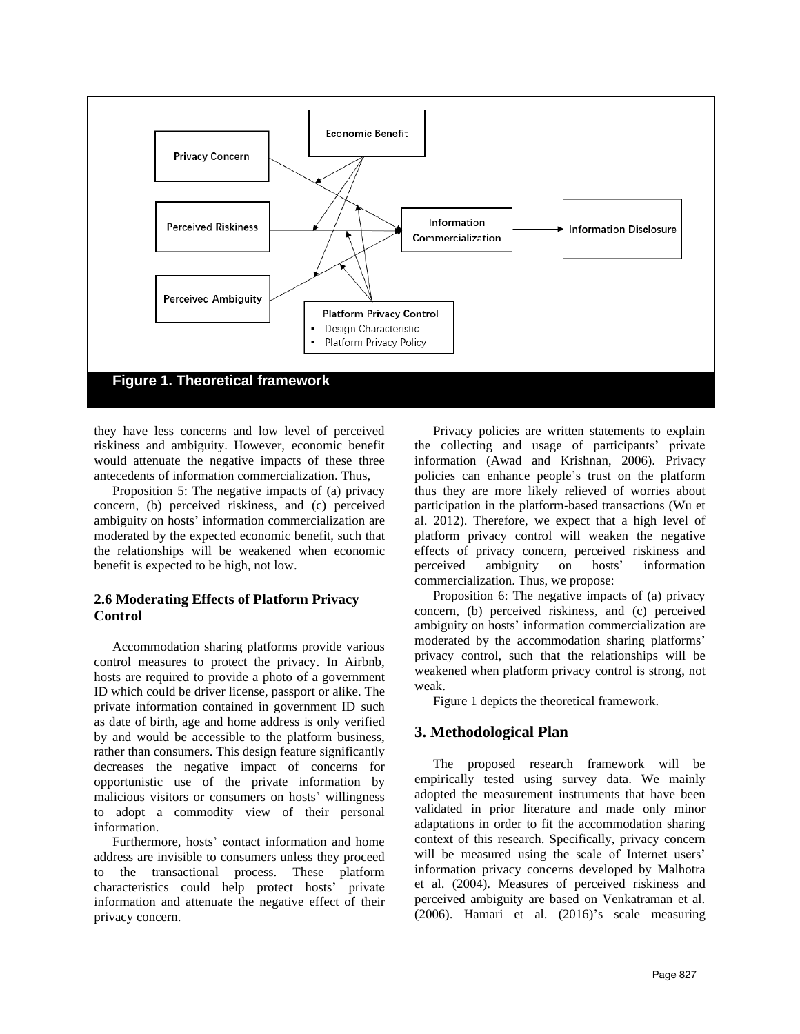

they have less concerns and low level of perceived riskiness and ambiguity. However, economic benefit would attenuate the negative impacts of these three antecedents of information commercialization. Thus,

Proposition 5: The negative impacts of (a) privacy concern, (b) perceived riskiness, and (c) perceived ambiguity on hosts' information commercialization are moderated by the expected economic benefit, such that the relationships will be weakened when economic benefit is expected to be high, not low.

# **2.6 Moderating Effects of Platform Privacy Control**

Accommodation sharing platforms provide various control measures to protect the privacy. In Airbnb, hosts are required to provide a photo of a government ID which could be driver license, passport or alike. The private information contained in government ID such as date of birth, age and home address is only verified by and would be accessible to the platform business, rather than consumers. This design feature significantly decreases the negative impact of concerns for opportunistic use of the private information by malicious visitors or consumers on hosts' willingness to adopt a commodity view of their personal information.

Furthermore, hosts' contact information and home address are invisible to consumers unless they proceed to the transactional process. These platform characteristics could help protect hosts' private information and attenuate the negative effect of their privacy concern.

Privacy policies are written statements to explain the collecting and usage of participants' private information (Awad and Krishnan, 2006). Privacy policies can enhance people's trust on the platform thus they are more likely relieved of worries about participation in the platform-based transactions (Wu et al. 2012). Therefore, we expect that a high level of platform privacy control will weaken the negative effects of privacy concern, perceived riskiness and perceived ambiguity on hosts' information commercialization. Thus, we propose:

Proposition 6: The negative impacts of (a) privacy concern, (b) perceived riskiness, and (c) perceived ambiguity on hosts' information commercialization are moderated by the accommodation sharing platforms' privacy control, such that the relationships will be weakened when platform privacy control is strong, not weak.

Figure 1 depicts the theoretical framework.

#### **3. Methodological Plan**

The proposed research framework will be empirically tested using survey data. We mainly adopted the measurement instruments that have been validated in prior literature and made only minor adaptations in order to fit the accommodation sharing context of this research. Specifically, privacy concern will be measured using the scale of Internet users' information privacy concerns developed by Malhotra et al. (2004). Measures of perceived riskiness and perceived ambiguity are based on Venkatraman et al. (2006). Hamari et al. (2016)'s scale measuring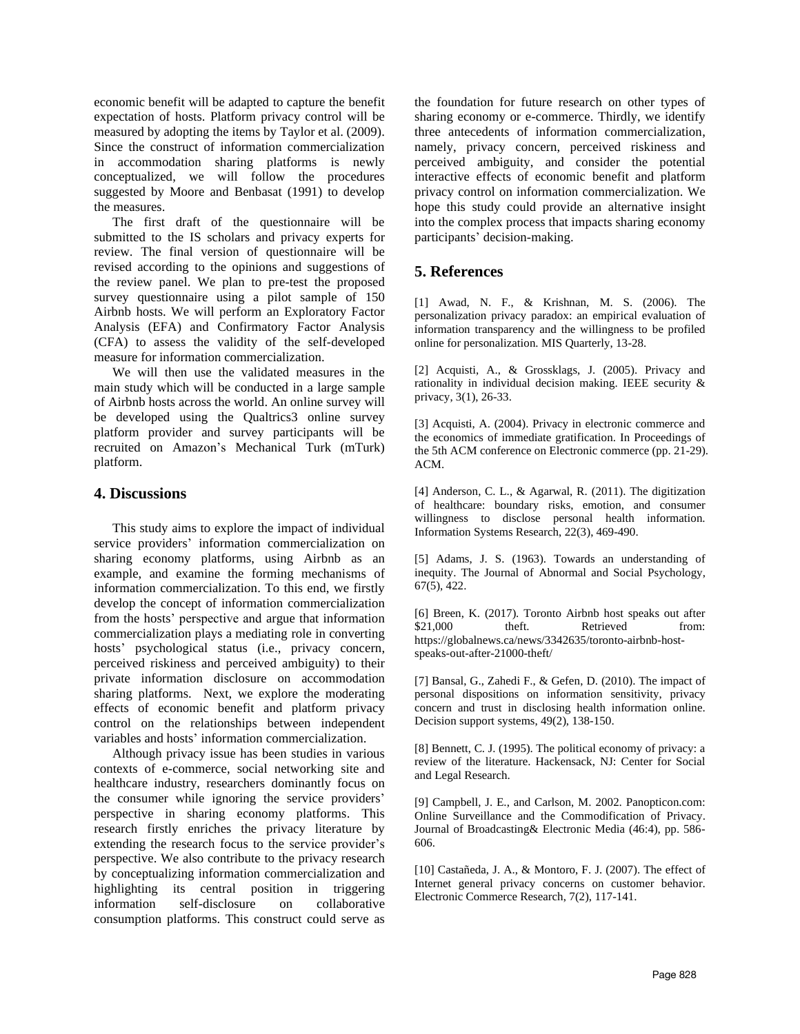economic benefit will be adapted to capture the benefit expectation of hosts. Platform privacy control will be measured by adopting the items by Taylor et al. (2009). Since the construct of information commercialization in accommodation sharing platforms is newly conceptualized, we will follow the procedures suggested by Moore and Benbasat (1991) to develop the measures.

The first draft of the questionnaire will be submitted to the IS scholars and privacy experts for review. The final version of questionnaire will be revised according to the opinions and suggestions of the review panel. We plan to pre-test the proposed survey questionnaire using a pilot sample of 150 Airbnb hosts. We will perform an Exploratory Factor Analysis (EFA) and Confirmatory Factor Analysis (CFA) to assess the validity of the self-developed measure for information commercialization.

We will then use the validated measures in the main study which will be conducted in a large sample of Airbnb hosts across the world. An online survey will be developed using the Qualtrics3 online survey platform provider and survey participants will be recruited on Amazon's Mechanical Turk (mTurk) platform.

## **4. Discussions**

This study aims to explore the impact of individual service providers' information commercialization on sharing economy platforms, using Airbnb as an example, and examine the forming mechanisms of information commercialization. To this end, we firstly develop the concept of information commercialization from the hosts' perspective and argue that information commercialization plays a mediating role in converting hosts' psychological status (i.e., privacy concern, perceived riskiness and perceived ambiguity) to their private information disclosure on accommodation sharing platforms. Next, we explore the moderating effects of economic benefit and platform privacy control on the relationships between independent variables and hosts' information commercialization.

Although privacy issue has been studies in various contexts of e-commerce, social networking site and healthcare industry, researchers dominantly focus on the consumer while ignoring the service providers' perspective in sharing economy platforms. This research firstly enriches the privacy literature by extending the research focus to the service provider's perspective. We also contribute to the privacy research by conceptualizing information commercialization and highlighting its central position in triggering information self-disclosure on collaborative consumption platforms. This construct could serve as

the foundation for future research on other types of sharing economy or e-commerce. Thirdly, we identify three antecedents of information commercialization, namely, privacy concern, perceived riskiness and perceived ambiguity, and consider the potential interactive effects of economic benefit and platform privacy control on information commercialization. We hope this study could provide an alternative insight into the complex process that impacts sharing economy participants' decision-making.

# **5. References**

[1] Awad, N. F., & Krishnan, M. S. (2006). The personalization privacy paradox: an empirical evaluation of information transparency and the willingness to be profiled online for personalization. MIS Quarterly, 13-28.

[2] Acquisti, A., & Grossklags, J. (2005). Privacy and rationality in individual decision making. IEEE security & privacy, 3(1), 26-33.

[3] Acquisti, A. (2004). Privacy in electronic commerce and the economics of immediate gratification. In Proceedings of the 5th ACM conference on Electronic commerce (pp. 21-29). ACM.

[4] Anderson, C. L., & Agarwal, R. (2011). The digitization of healthcare: boundary risks, emotion, and consumer willingness to disclose personal health information. Information Systems Research, 22(3), 469-490.

[5] Adams, J. S. (1963). Towards an understanding of inequity. The Journal of Abnormal and Social Psychology, 67(5), 422.

[6] Breen, K. (2017). Toronto Airbnb host speaks out after \$21,000 theft. Retrieved from: https://globalnews.ca/news/3342635/toronto-airbnb-hostspeaks-out-after-21000-theft/

[7] Bansal, G., Zahedi F., & Gefen, D. (2010). The impact of personal dispositions on information sensitivity, privacy concern and trust in disclosing health information online. Decision support systems, 49(2), 138-150.

[8] Bennett, C. J. (1995). The political economy of privacy: a review of the literature. Hackensack, NJ: Center for Social and Legal Research.

[9] Campbell, J. E., and Carlson, M. 2002. Panopticon.com: Online Surveillance and the Commodification of Privacy. Journal of Broadcasting& Electronic Media (46:4), pp. 586- 606.

[10] Castañeda, J. A., & Montoro, F. J. (2007). The effect of Internet general privacy concerns on customer behavior. Electronic Commerce Research, 7(2), 117-141.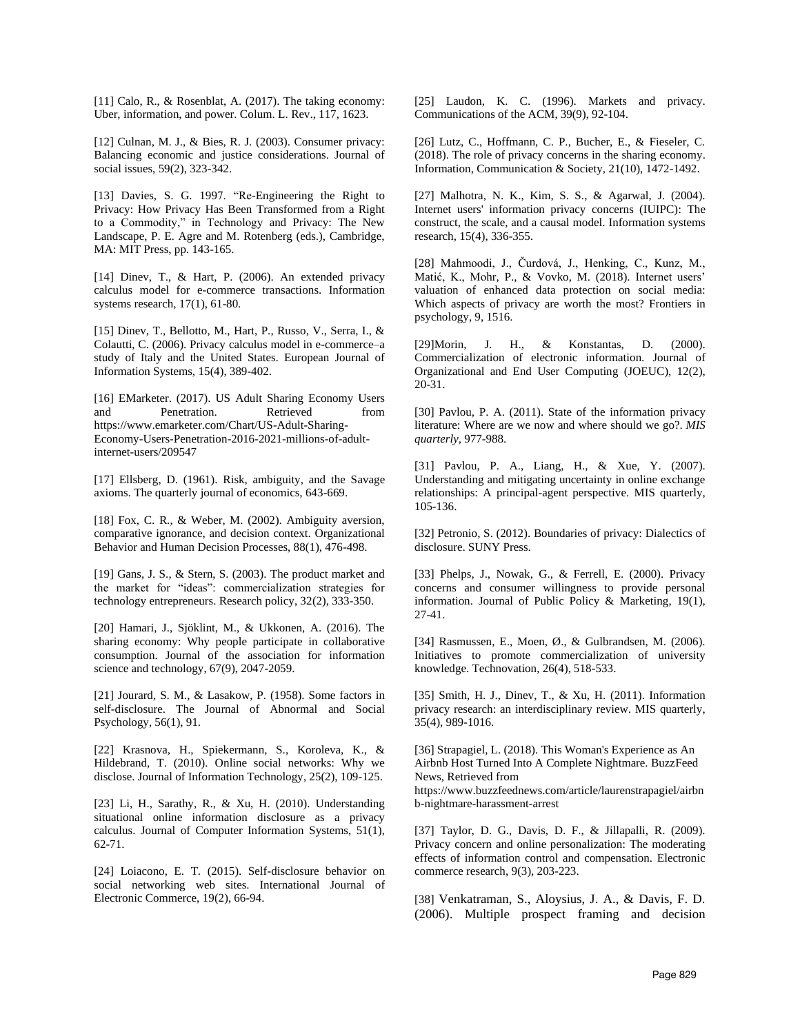[11] Calo, R., & Rosenblat, A. (2017). The taking economy: Uber, information, and power. Colum. L. Rev., 117, 1623.

[12] Culnan, M. J., & Bies, R. J. (2003). Consumer privacy: Balancing economic and justice considerations. Journal of social issues, 59(2), 323-342.

[13] Davies, S. G. 1997. "Re-Engineering the Right to Privacy: How Privacy Has Been Transformed from a Right to a Commodity," in Technology and Privacy: The New Landscape, P. E. Agre and M. Rotenberg (eds.), Cambridge, MA: MIT Press, pp. 143-165.

[14] Dinev, T., & Hart, P. (2006). An extended privacy calculus model for e-commerce transactions. Information systems research, 17(1), 61-80.

[15] Dinev, T., Bellotto, M., Hart, P., Russo, V., Serra, I., & Colautti, C. (2006). Privacy calculus model in e-commerce–a study of Italy and the United States. European Journal of Information Systems, 15(4), 389-402.

[16] EMarketer. (2017). US Adult Sharing Economy Users and Penetration. Retrieved from https://www.emarketer.com/Chart/US-Adult-Sharing-Economy-Users-Penetration-2016-2021-millions-of-adultinternet-users/209547

[17] Ellsberg, D. (1961). Risk, ambiguity, and the Savage axioms. The quarterly journal of economics, 643-669.

[18] Fox, C. R., & Weber, M. (2002). Ambiguity aversion, comparative ignorance, and decision context. Organizational Behavior and Human Decision Processes, 88(1), 476-498.

[19] Gans, J. S., & Stern, S. (2003). The product market and the market for "ideas": commercialization strategies for technology entrepreneurs. Research policy, 32(2), 333-350.

[20] Hamari, J., Sjöklint, M., & Ukkonen, A. (2016). The sharing economy: Why people participate in collaborative consumption. Journal of the association for information science and technology, 67(9), 2047-2059.

[21] Jourard, S. M., & Lasakow, P. (1958). Some factors in self-disclosure. The Journal of Abnormal and Social Psychology, 56(1), 91.

[22] Krasnova, H., Spiekermann, S., Koroleva, K., & Hildebrand, T. (2010). Online social networks: Why we disclose. Journal of Information Technology, 25(2), 109-125.

[23] Li, H., Sarathy, R., & Xu, H. (2010). Understanding situational online information disclosure as a privacy calculus. Journal of Computer Information Systems, 51(1), 62-71.

[24] Loiacono, E. T. (2015). Self-disclosure behavior on social networking web sites. International Journal of Electronic Commerce, 19(2), 66-94.

[25] Laudon, K. C. (1996). Markets and privacy. Communications of the ACM, 39(9), 92-104.

[26] Lutz, C., Hoffmann, C. P., Bucher, E., & Fieseler, C. (2018). The role of privacy concerns in the sharing economy. Information, Communication & Society, 21(10), 1472-1492.

[27] Malhotra, N. K., Kim, S. S., & Agarwal, J. (2004). Internet users' information privacy concerns (IUIPC): The construct, the scale, and a causal model. Information systems research, 15(4), 336-355.

[28] Mahmoodi, J., Čurdová, J., Henking, C., Kunz, M., Matić, K., Mohr, P., & Vovko, M. (2018). Internet users' valuation of enhanced data protection on social media: Which aspects of privacy are worth the most? Frontiers in psychology, 9, 1516.

[29]Morin, J. H., & Konstantas, D. (2000). Commercialization of electronic information. Journal of Organizational and End User Computing (JOEUC), 12(2), 20-31.

[30] Pavlou, P. A. (2011). State of the information privacy literature: Where are we now and where should we go?. *MIS quarterly*, 977-988.

[31] Pavlou, P. A., Liang, H., & Xue, Y. (2007). Understanding and mitigating uncertainty in online exchange relationships: A principal-agent perspective. MIS quarterly, 105-136.

[32] Petronio, S. (2012). Boundaries of privacy: Dialectics of disclosure. SUNY Press.

[33] Phelps, J., Nowak, G., & Ferrell, E. (2000). Privacy concerns and consumer willingness to provide personal information. Journal of Public Policy & Marketing, 19(1), 27-41.

[34] Rasmussen, E., Moen, Ø., & Gulbrandsen, M. (2006). Initiatives to promote commercialization of university knowledge. Technovation, 26(4), 518-533.

[35] Smith, H. J., Dinev, T., & Xu, H. (2011). Information privacy research: an interdisciplinary review. MIS quarterly, 35(4), 989-1016.

[36] Strapagiel, L. (2018). This Woman's Experience as An Airbnb Host Turned Into A Complete Nightmare. BuzzFeed News, Retrieved from

https://www.buzzfeednews.com/article/laurenstrapagiel/airbn b-nightmare-harassment-arrest

[37] Taylor, D. G., Davis, D. F., & Jillapalli, R. (2009). Privacy concern and online personalization: The moderating effects of information control and compensation. Electronic commerce research, 9(3), 203-223.

[38] Venkatraman, S., Aloysius, J. A., & Davis, F. D. (2006). Multiple prospect framing and decision